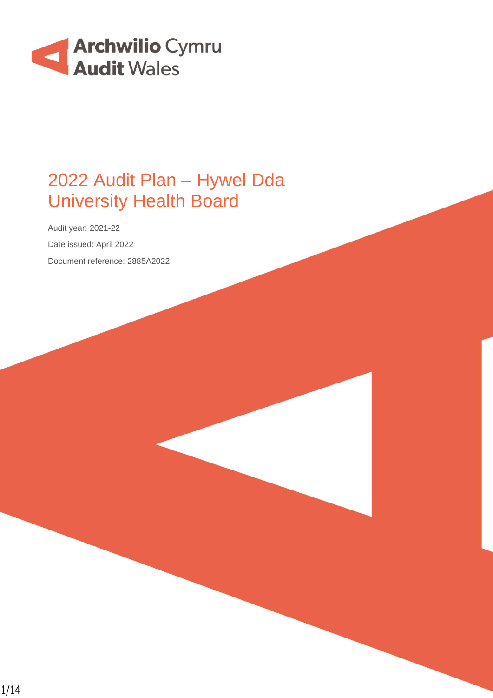

# 2022 Audit Plan – Hywel Dda University Health Board

Audit year: 2021-22 Date issued: April 2022 Document reference: 2885A2022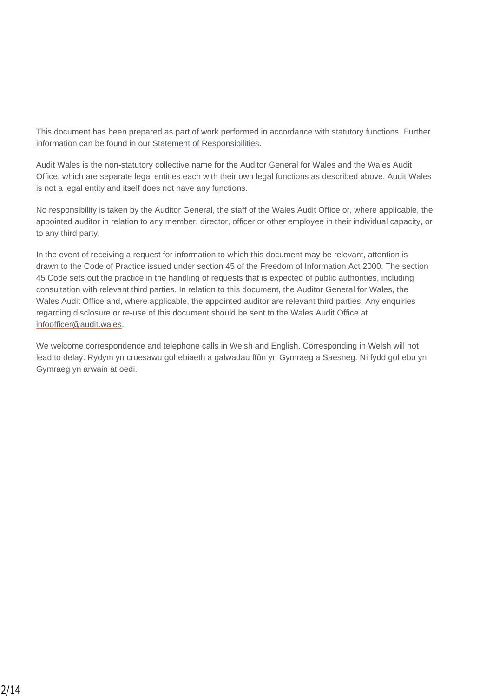This document has been prepared as part of work performed in accordance with statutory functions. Further information can be found in our [Statement of Responsibilities.](https://www.audit.wales/publication/statement-responsibilities-financial-statements-audit)

Audit Wales is the non-statutory collective name for the Auditor General for Wales and the Wales Audit Office, which are separate legal entities each with their own legal functions as described above. Audit Wales is not a legal entity and itself does not have any functions.

No responsibility is taken by the Auditor General, the staff of the Wales Audit Office or, where applicable, the appointed auditor in relation to any member, director, officer or other employee in their individual capacity, or to any third party.

In the event of receiving a request for information to which this document may be relevant, attention is drawn to the Code of Practice issued under section 45 of the Freedom of Information Act 2000. The section 45 Code sets out the practice in the handling of requests that is expected of public authorities, including consultation with relevant third parties. In relation to this document, the Auditor General for Wales, the Wales Audit Office and, where applicable, the appointed auditor are relevant third parties. Any enquiries regarding disclosure or re-use of this document should be sent to the Wales Audit Office at [infoofficer@audit.wales.](mailto:infoofficer@audit.wales)

We welcome correspondence and telephone calls in Welsh and English. Corresponding in Welsh will not lead to delay. Rydym yn croesawu gohebiaeth a galwadau ffôn yn Gymraeg a Saesneg. Ni fydd gohebu yn Gymraeg yn arwain at oedi.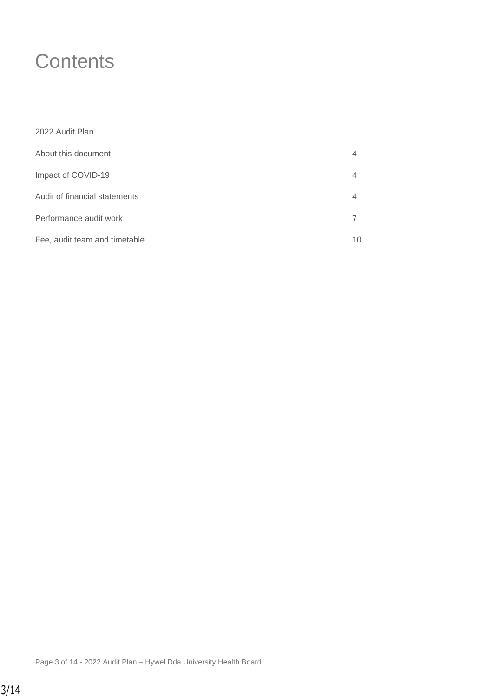# **Contents**

| 2022 Audit Plan               |    |
|-------------------------------|----|
| About this document           | 4  |
| Impact of COVID-19            | 4  |
| Audit of financial statements | 4  |
| Performance audit work        |    |
| Fee, audit team and timetable | 10 |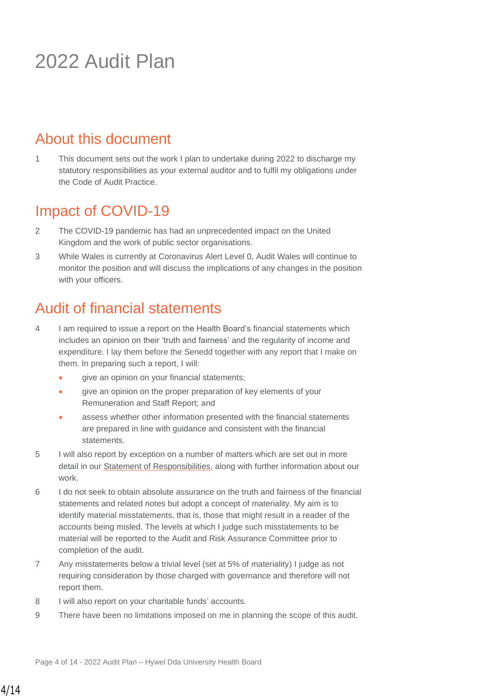# 2022 Audit Plan

## About this document

1 This document sets out the work I plan to undertake during 2022 to discharge my statutory responsibilities as your external auditor and to fulfil my obligations under the Code of Audit Practice.

## Impact of COVID-19

- 2 The COVID-19 pandemic has had an unprecedented impact on the United Kingdom and the work of public sector organisations.
- 3 While Wales is currently at Coronavirus Alert Level 0, Audit Wales will continue to monitor the position and will discuss the implications of any changes in the position with your officers.

## Audit of financial statements

- 4 I am required to issue a report on the Health Board's financial statements which includes an opinion on their 'truth and fairness' and the regularity of income and expenditure. I lay them before the Senedd together with any report that I make on them. In preparing such a report, I will:
	- give an opinion on your financial statements;
	- give an opinion on the proper preparation of key elements of your Remuneration and Staff Report; and
	- assess whether other information presented with the financial statements are prepared in line with guidance and consistent with the financial statements.
- 5 I will also report by exception on a number of matters which are set out in more detail in our [Statement of Responsibilities,](https://www.audit.wales/publication/statement-responsibilities-financial-statements-audit) along with further information about our work.
- 6 I do not seek to obtain absolute assurance on the truth and fairness of the financial statements and related notes but adopt a concept of materiality. My aim is to identify material misstatements, that is, those that might result in a reader of the accounts being misled. The levels at which I judge such misstatements to be material will be reported to the Audit and Risk Assurance Committee prior to completion of the audit.
- 7 Any misstatements below a trivial level (set at 5% of materiality) I judge as not requiring consideration by those charged with governance and therefore will not report them.
- 8 I will also report on your charitable funds' accounts.
- 9 There have been no limitations imposed on me in planning the scope of this audit.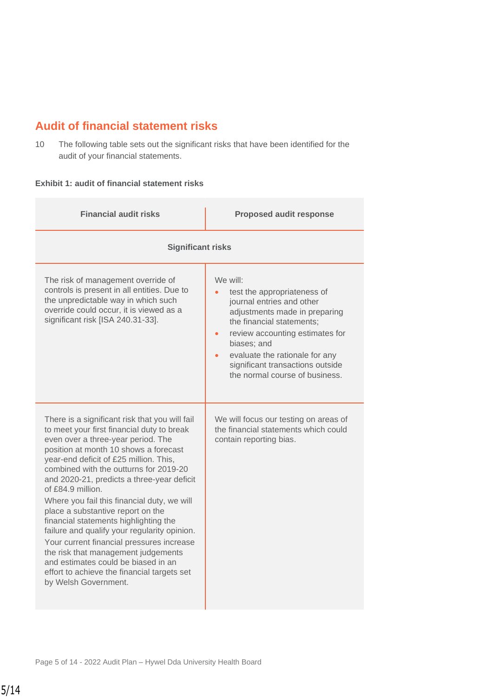### **Audit of financial statement risks**

10 The following table sets out the significant risks that have been identified for the audit of your financial statements.

#### **Exhibit 1: audit of financial statement risks**

| <b>Financial audit risks</b>                                                                                                                                                                                                                                                                                                                                                                                                                                                                                                                                                                                                                                                                                      | <b>Proposed audit response</b>                                                                                                                                                                                                                                                                                         |  |
|-------------------------------------------------------------------------------------------------------------------------------------------------------------------------------------------------------------------------------------------------------------------------------------------------------------------------------------------------------------------------------------------------------------------------------------------------------------------------------------------------------------------------------------------------------------------------------------------------------------------------------------------------------------------------------------------------------------------|------------------------------------------------------------------------------------------------------------------------------------------------------------------------------------------------------------------------------------------------------------------------------------------------------------------------|--|
| <b>Significant risks</b>                                                                                                                                                                                                                                                                                                                                                                                                                                                                                                                                                                                                                                                                                          |                                                                                                                                                                                                                                                                                                                        |  |
| The risk of management override of<br>controls is present in all entities. Due to<br>the unpredictable way in which such<br>override could occur, it is viewed as a<br>significant risk [ISA 240.31-33].                                                                                                                                                                                                                                                                                                                                                                                                                                                                                                          | We will:<br>test the appropriateness of<br>journal entries and other<br>adjustments made in preparing<br>the financial statements;<br>review accounting estimates for<br>$\bullet$<br>biases; and<br>evaluate the rationale for any<br>$\bullet$<br>significant transactions outside<br>the normal course of business. |  |
| There is a significant risk that you will fail<br>to meet your first financial duty to break<br>even over a three-year period. The<br>position at month 10 shows a forecast<br>year-end deficit of £25 million. This,<br>combined with the outturns for 2019-20<br>and 2020-21, predicts a three-year deficit<br>of £84.9 million.<br>Where you fail this financial duty, we will<br>place a substantive report on the<br>financial statements highlighting the<br>failure and qualify your regularity opinion.<br>Your current financial pressures increase<br>the risk that management judgements<br>and estimates could be biased in an<br>effort to achieve the financial targets set<br>by Welsh Government. | We will focus our testing on areas of<br>the financial statements which could<br>contain reporting bias.                                                                                                                                                                                                               |  |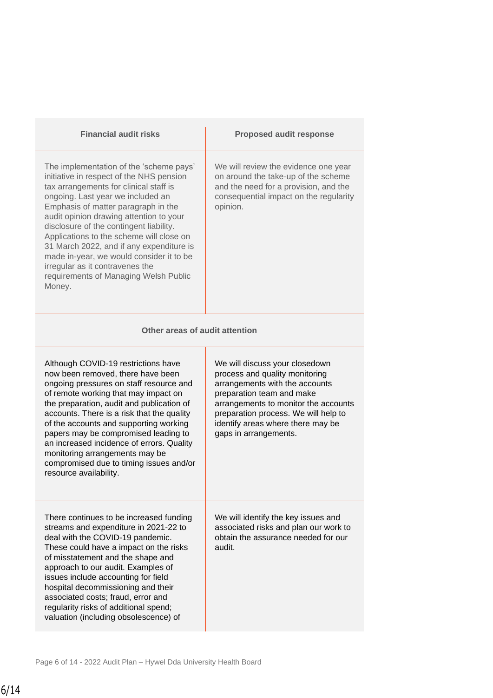| <b>Financial audit risks</b>                                                                                                                                                                                                                                                                                                                                                                                                                                                                                              | <b>Proposed audit response</b>                                                                                                                                                                                                                                                |  |  |
|---------------------------------------------------------------------------------------------------------------------------------------------------------------------------------------------------------------------------------------------------------------------------------------------------------------------------------------------------------------------------------------------------------------------------------------------------------------------------------------------------------------------------|-------------------------------------------------------------------------------------------------------------------------------------------------------------------------------------------------------------------------------------------------------------------------------|--|--|
| The implementation of the 'scheme pays'<br>initiative in respect of the NHS pension<br>tax arrangements for clinical staff is<br>ongoing. Last year we included an<br>Emphasis of matter paragraph in the<br>audit opinion drawing attention to your<br>disclosure of the contingent liability.<br>Applications to the scheme will close on<br>31 March 2022, and if any expenditure is<br>made in-year, we would consider it to be<br>irregular as it contravenes the<br>requirements of Managing Welsh Public<br>Money. | We will review the evidence one year<br>on around the take-up of the scheme<br>and the need for a provision, and the<br>consequential impact on the regularity<br>opinion.                                                                                                    |  |  |
| Other areas of audit attention                                                                                                                                                                                                                                                                                                                                                                                                                                                                                            |                                                                                                                                                                                                                                                                               |  |  |
| Although COVID-19 restrictions have<br>now been removed, there have been<br>ongoing pressures on staff resource and<br>of remote working that may impact on<br>the preparation, audit and publication of<br>accounts. There is a risk that the quality<br>of the accounts and supporting working<br>papers may be compromised leading to<br>an increased incidence of errors. Quality<br>monitoring arrangements may be<br>compromised due to timing issues and/or<br>resource availability.                              | We will discuss your closedown<br>process and quality monitoring<br>arrangements with the accounts<br>preparation team and make<br>arrangements to monitor the accounts<br>preparation process. We will help to<br>identify areas where there may be<br>gaps in arrangements. |  |  |
| There continues to be increased funding<br>streams and expenditure in 2021-22 to<br>deal with the COVID-19 pandemic.<br>These could have a impact on the risks<br>of misstatement and the shape and<br>approach to our audit. Examples of<br>issues include accounting for field<br>hospital decommissioning and their<br>associated costs; fraud, error and<br>regularity risks of additional spend;<br>valuation (including obsolescence) of                                                                            | We will identify the key issues and<br>associated risks and plan our work to<br>obtain the assurance needed for our<br>audit.                                                                                                                                                 |  |  |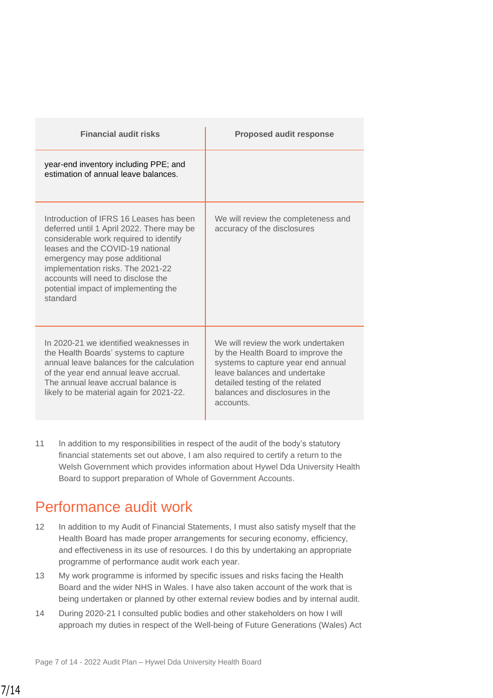| <b>Financial audit risks</b>                                                                                                                                                                                                                                                                                                       | <b>Proposed audit response</b>                                                                                                                                                                                                    |
|------------------------------------------------------------------------------------------------------------------------------------------------------------------------------------------------------------------------------------------------------------------------------------------------------------------------------------|-----------------------------------------------------------------------------------------------------------------------------------------------------------------------------------------------------------------------------------|
| year-end inventory including PPE; and<br>estimation of annual leave balances.                                                                                                                                                                                                                                                      |                                                                                                                                                                                                                                   |
| Introduction of IFRS 16 Leases has been<br>deferred until 1 April 2022. There may be<br>considerable work required to identify<br>leases and the COVID-19 national<br>emergency may pose additional<br>implementation risks. The 2021-22<br>accounts will need to disclose the<br>potential impact of implementing the<br>standard | We will review the completeness and<br>accuracy of the disclosures                                                                                                                                                                |
| In 2020-21 we identified weaknesses in<br>the Health Boards' systems to capture<br>annual leave balances for the calculation<br>of the year end annual leave accrual.<br>The annual leave accrual balance is<br>likely to be material again for 2021-22.                                                                           | We will review the work undertaken<br>by the Health Board to improve the<br>systems to capture year end annual<br>leave balances and undertake<br>detailed testing of the related<br>balances and disclosures in the<br>accounts. |

11 In addition to my responsibilities in respect of the audit of the body's statutory financial statements set out above, I am also required to certify a return to the Welsh Government which provides information about Hywel Dda University Health Board to support preparation of Whole of Government Accounts.

### Performance audit work

- 12 In addition to my Audit of Financial Statements, I must also satisfy myself that the Health Board has made proper arrangements for securing economy, efficiency, and effectiveness in its use of resources. I do this by undertaking an appropriate programme of performance audit work each year.
- 13 My work programme is informed by specific issues and risks facing the Health Board and the wider NHS in Wales. I have also taken account of the work that is being undertaken or planned by other external review bodies and by internal audit.
- 14 During 2020-21 I consulted public bodies and other stakeholders on how I will approach my duties in respect of the Well-being of Future Generations (Wales) Act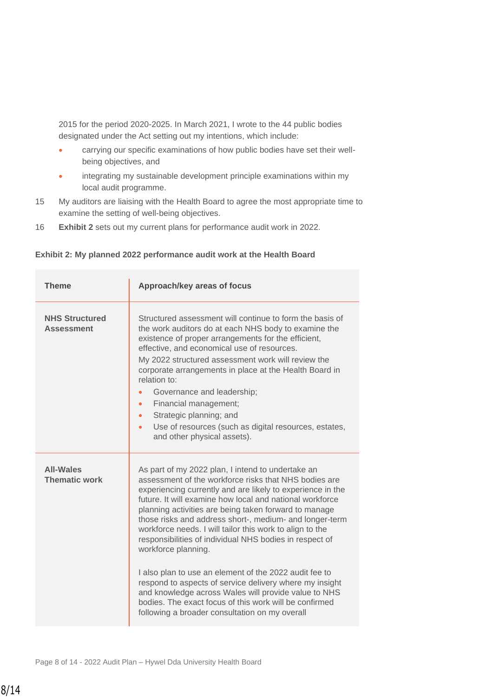2015 for the period 2020-2025. In March 2021, I wrote to the 44 public bodies designated under the Act setting out my intentions, which include:

- carrying our specific examinations of how public bodies have set their wellbeing objectives, and
- integrating my sustainable development principle examinations within my local audit programme.
- 15 My auditors are liaising with the Health Board to agree the most appropriate time to examine the setting of well-being objectives.
- 16 **Exhibit 2** sets out my current plans for performance audit work in 2022.

| <b>Theme</b>                               | Approach/key areas of focus                                                                                                                                                                                                                                                                                                                                                                                                                                                                                                                                                                                                                                                                                                                                                                     |  |  |
|--------------------------------------------|-------------------------------------------------------------------------------------------------------------------------------------------------------------------------------------------------------------------------------------------------------------------------------------------------------------------------------------------------------------------------------------------------------------------------------------------------------------------------------------------------------------------------------------------------------------------------------------------------------------------------------------------------------------------------------------------------------------------------------------------------------------------------------------------------|--|--|
| <b>NHS Structured</b><br><b>Assessment</b> | Structured assessment will continue to form the basis of<br>the work auditors do at each NHS body to examine the<br>existence of proper arrangements for the efficient,<br>effective, and economical use of resources.<br>My 2022 structured assessment work will review the<br>corporate arrangements in place at the Health Board in<br>relation to:<br>Governance and leadership;<br>Financial management;<br>Strategic planning; and<br>Use of resources (such as digital resources, estates,<br>$\bullet$<br>and other physical assets).                                                                                                                                                                                                                                                   |  |  |
| <b>All-Wales</b><br><b>Thematic work</b>   | As part of my 2022 plan, I intend to undertake an<br>assessment of the workforce risks that NHS bodies are<br>experiencing currently and are likely to experience in the<br>future. It will examine how local and national workforce<br>planning activities are being taken forward to manage<br>those risks and address short-, medium- and longer-term<br>workforce needs. I will tailor this work to align to the<br>responsibilities of individual NHS bodies in respect of<br>workforce planning.<br>I also plan to use an element of the 2022 audit fee to<br>respond to aspects of service delivery where my insight<br>and knowledge across Wales will provide value to NHS<br>bodies. The exact focus of this work will be confirmed<br>following a broader consultation on my overall |  |  |

#### **Exhibit 2: My planned 2022 performance audit work at the Health Board**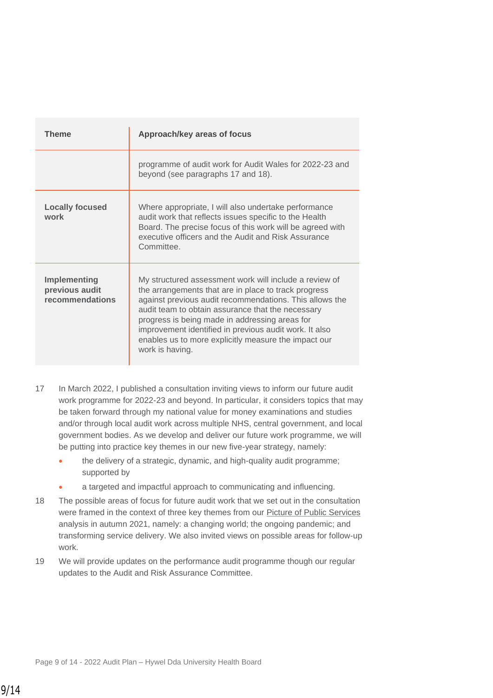| Theme                                                    | Approach/key areas of focus                                                                                                                                                                                                                                                                                                                                                                                           |
|----------------------------------------------------------|-----------------------------------------------------------------------------------------------------------------------------------------------------------------------------------------------------------------------------------------------------------------------------------------------------------------------------------------------------------------------------------------------------------------------|
|                                                          | programme of audit work for Audit Wales for 2022-23 and<br>beyond (see paragraphs 17 and 18).                                                                                                                                                                                                                                                                                                                         |
| <b>Locally focused</b><br>work                           | Where appropriate, I will also undertake performance<br>audit work that reflects issues specific to the Health<br>Board. The precise focus of this work will be agreed with<br>executive officers and the Audit and Risk Assurance<br>Committee.                                                                                                                                                                      |
| <b>Implementing</b><br>previous audit<br>recommendations | My structured assessment work will include a review of<br>the arrangements that are in place to track progress<br>against previous audit recommendations. This allows the<br>audit team to obtain assurance that the necessary<br>progress is being made in addressing areas for<br>improvement identified in previous audit work. It also<br>enables us to more explicitly measure the impact our<br>work is having. |

- 17 In March 2022, I published a consultation inviting views to inform our future audit work programme for 2022-23 and beyond. In particular, it considers topics that may be taken forward through my national value for money examinations and studies and/or through local audit work across multiple NHS, central government, and local government bodies. As we develop and deliver our future work programme, we will be putting into practice key themes in our new five-year strategy, namely:
	- the delivery of a strategic, dynamic, and high-quality audit programme; supported by
	- a targeted and impactful approach to communicating and influencing.
- 18 The possible areas of focus for future audit work that we set out in the consultation were framed in the context of three key themes from our [Picture of Public Services](https://www.audit.wales/publication/picture-public-services-2021) analysis in autumn 2021, namely: a changing world; the ongoing pandemic; and transforming service delivery. We also invited views on possible areas for follow-up work.
- 19 We will provide updates on the performance audit programme though our regular updates to the Audit and Risk Assurance Committee.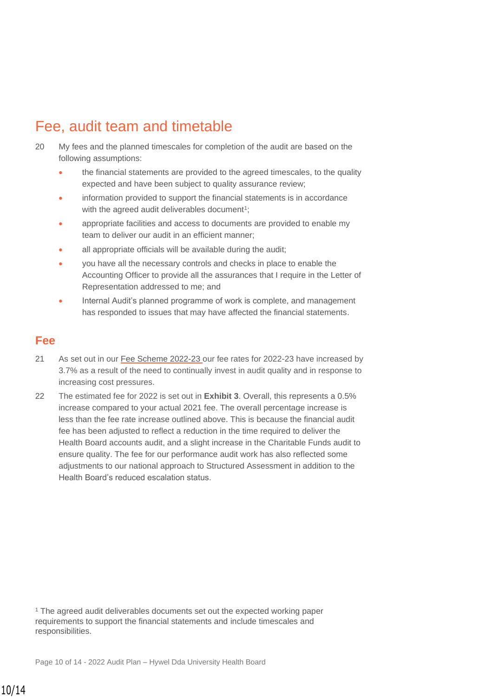# Fee, audit team and timetable

- 20 My fees and the planned timescales for completion of the audit are based on the following assumptions:
	- the financial statements are provided to the agreed timescales, to the quality expected and have been subject to quality assurance review;
	- information provided to support the financial statements is in accordance with the agreed audit deliverables document<sup>1</sup>;
	- appropriate facilities and access to documents are provided to enable my team to deliver our audit in an efficient manner;
	- all appropriate officials will be available during the audit;
	- you have all the necessary controls and checks in place to enable the Accounting Officer to provide all the assurances that I require in the Letter of Representation addressed to me; and
	- Internal Audit's planned programme of work is complete, and management has responded to issues that may have affected the financial statements.

### **Fee**

- 21 As set out in our [Fee Scheme 2022-23 o](https://www.audit.wales/sites/default/files/publications/Fee_Scheme_2022-23_Eng.pdf)ur fee rates for 2022-23 have increased by 3.7% as a result of the need to continually invest in audit quality and in response to increasing cost pressures.
- 22 The estimated fee for 2022 is set out in **Exhibit 3**. Overall, this represents a 0.5% increase compared to your actual 2021 fee. The overall percentage increase is less than the fee rate increase outlined above. This is because the financial audit fee has been adjusted to reflect a reduction in the time required to deliver the Health Board accounts audit, and a slight increase in the Charitable Funds audit to ensure quality. The fee for our performance audit work has also reflected some adjustments to our national approach to Structured Assessment in addition to the Health Board's reduced escalation status.

<sup>1</sup> The agreed audit deliverables documents set out the expected working paper requirements to support the financial statements and include timescales and responsibilities.

Page 10 of 14 - 2022 Audit Plan – Hywel Dda University Health Board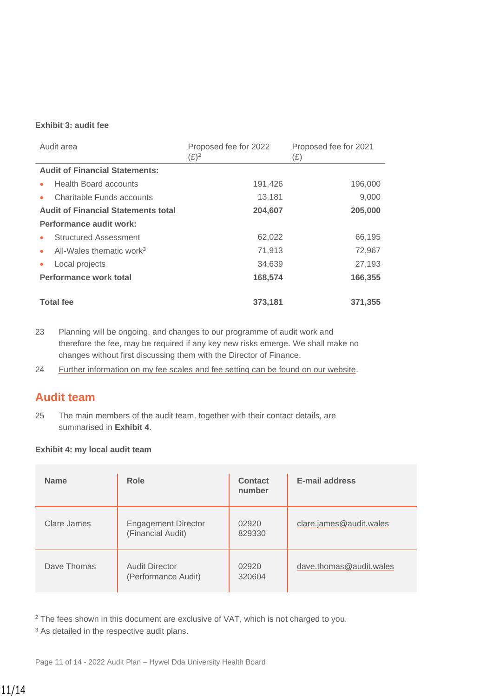#### **Exhibit 3: audit fee**

| Audit area                                 | Proposed fee for 2022<br>$(E)^2$ | Proposed fee for 2021<br>(E) |
|--------------------------------------------|----------------------------------|------------------------------|
| <b>Audit of Financial Statements:</b>      |                                  |                              |
| <b>Health Board accounts</b><br>$\bullet$  | 191,426                          | 196,000                      |
| Charitable Funds accounts<br>$\bullet$     | 13,181                           | 9,000                        |
| <b>Audit of Financial Statements total</b> | 204,607                          | 205,000                      |
| Performance audit work:                    |                                  |                              |
| <b>Structured Assessment</b><br>$\bullet$  | 62,022                           | 66,195                       |
| All-Wales thematic work $3$<br>$\bullet$   | 71,913                           | 72,967                       |
| Local projects                             | 34,639                           | 27,193                       |
| Performance work total                     | 168,574                          | 166,355                      |
| <b>Total fee</b>                           | 373,181                          | 371,355                      |

- 23 Planning will be ongoing, and changes to our programme of audit work and therefore the fee, may be required if any key new risks emerge. We shall make no changes without first discussing them with the Director of Finance.
- 24 [Further information on my fee scales and fee setting can be found on our website.](http://www.audit.wales/about-us/fee-scales-and-fee-setting)

### **Audit team**

25 The main members of the audit team, together with their contact details, are summarised in **Exhibit 4**.

#### **Exhibit 4: my local audit team**

| <b>Name</b> | Role                                            | <b>Contact</b><br>number | <b>E-mail address</b>   |
|-------------|-------------------------------------------------|--------------------------|-------------------------|
| Clare James | <b>Engagement Director</b><br>(Financial Audit) | 02920<br>829330          | clare.james@audit.wales |
| Dave Thomas | <b>Audit Director</b><br>(Performance Audit)    | 02920<br>320604          | dave.thomas@audit.wales |

<sup>2</sup> The fees shown in this document are exclusive of VAT, which is not charged to you.

<sup>3</sup> As detailed in the respective audit plans.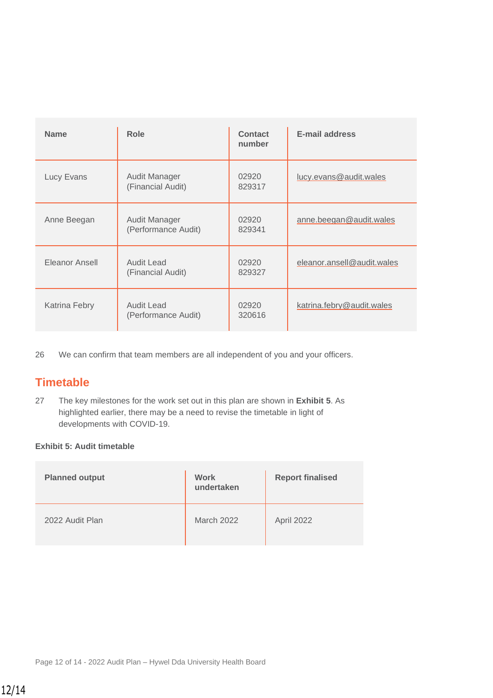| <b>Name</b>    | Role                                     | <b>Contact</b><br>number | <b>E-mail address</b>      |
|----------------|------------------------------------------|--------------------------|----------------------------|
| Lucy Evans     | Audit Manager<br>(Financial Audit)       | 02920<br>829317          | lucy.evans@audit.wales     |
| Anne Beegan    | Audit Manager<br>(Performance Audit)     | 02920<br>829341          | anne.beegan@audit.wales    |
| Eleanor Ansell | <b>Audit Lead</b><br>(Financial Audit)   | 02920<br>829327          | eleanor.ansell@audit.wales |
| Katrina Febry  | <b>Audit Lead</b><br>(Performance Audit) | 02920<br>320616          | katrina.febry@audit.wales  |

26 We can confirm that team members are all independent of you and your officers.

### **Timetable**

27 The key milestones for the work set out in this plan are shown in **Exhibit 5**. As highlighted earlier, there may be a need to revise the timetable in light of developments with COVID-19.

#### **Exhibit 5: Audit timetable**

| <b>Planned output</b> | <b>Work</b><br>undertaken | <b>Report finalised</b> |
|-----------------------|---------------------------|-------------------------|
| 2022 Audit Plan       | <b>March 2022</b>         | April 2022              |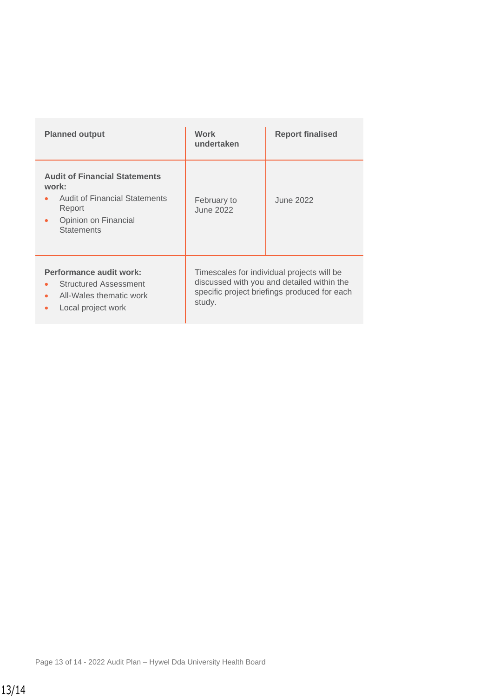| <b>Planned output</b>                                                                                                                             | Work<br>undertaken                                                                                                                                 | <b>Report finalised</b> |
|---------------------------------------------------------------------------------------------------------------------------------------------------|----------------------------------------------------------------------------------------------------------------------------------------------------|-------------------------|
| <b>Audit of Financial Statements</b><br>work:<br><b>Audit of Financial Statements</b><br>Report<br>Opinion on Financial<br>٠<br><b>Statements</b> | February to<br>June 2022                                                                                                                           | June 2022               |
| Performance audit work:<br><b>Structured Assessment</b><br>All-Wales thematic work<br>Local project work<br>٠                                     | Timescales for individual projects will be<br>discussed with you and detailed within the<br>specific project briefings produced for each<br>study. |                         |